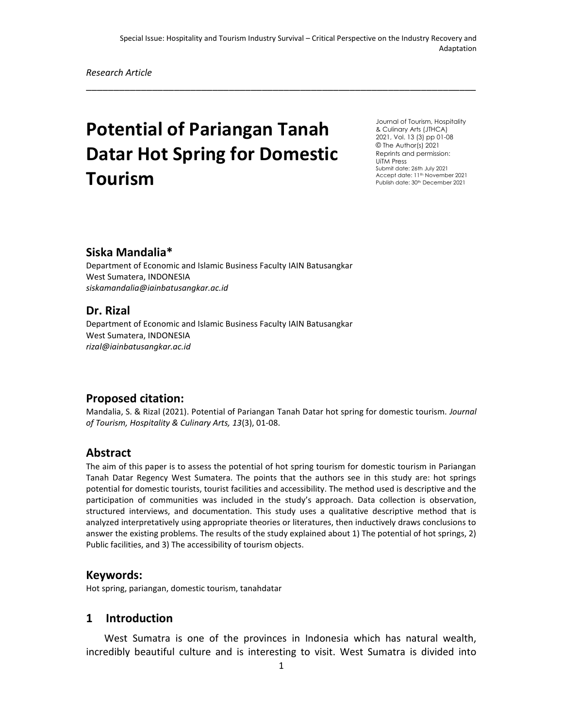\_\_\_\_\_\_\_\_\_\_\_\_\_\_\_\_\_\_\_\_\_\_\_\_\_\_\_\_\_\_\_\_\_\_\_\_\_\_\_\_\_\_\_\_\_\_\_\_\_\_\_\_\_\_\_\_\_\_\_\_\_\_\_\_\_\_\_\_\_\_\_

# **Potential of Pariangan Tanah Datar Hot Spring for Domestic Tourism**

Journal of Tourism, Hospitality & Culinary Arts (JTHCA) 2021, Vol. 13 (3) pp 01-08 © The Author(s) 2021 Reprints and permission: UiTM Press Submit date: 26th July 2021 Accept date: 11th November 2021 Publish date: 30<sup>th</sup> December 2021

#### **Siska Mandalia\***

Department of Economic and Islamic Business Faculty IAIN Batusangkar West Sumatera, INDONESIA *siskamandalia@iainbatusangkar.ac.id*

#### **Dr. Rizal**

Department of Economic and Islamic Business Faculty IAIN Batusangkar West Sumatera, INDONESIA *rizal@iainbatusangkar.ac.id*

#### **Proposed citation:**

Mandalia, S. & Rizal (2021). Potential of Pariangan Tanah Datar hot spring for domestic tourism. *Journal of Tourism, Hospitality & Culinary Arts, 13*(3), 01-08.

#### **Abstract**

The aim of this paper is to assess the potential of hot spring tourism for domestic tourism in Pariangan Tanah Datar Regency West Sumatera. The points that the authors see in this study are: hot springs potential for domestic tourists, tourist facilities and accessibility. The method used is descriptive and the participation of communities was included in the study's approach. Data collection is observation, structured interviews, and documentation. This study uses a qualitative descriptive method that is analyzed interpretatively using appropriate theories or literatures, then inductively draws conclusions to answer the existing problems. The results of the study explained about 1) The potential of hot springs, 2) Public facilities, and 3) The accessibility of tourism objects.

#### **Keywords:**

Hot spring, pariangan, domestic tourism, tanahdatar

#### **1 Introduction**

West Sumatra is one of the provinces in Indonesia which has natural wealth, incredibly beautiful culture and is interesting to visit. West Sumatra is divided into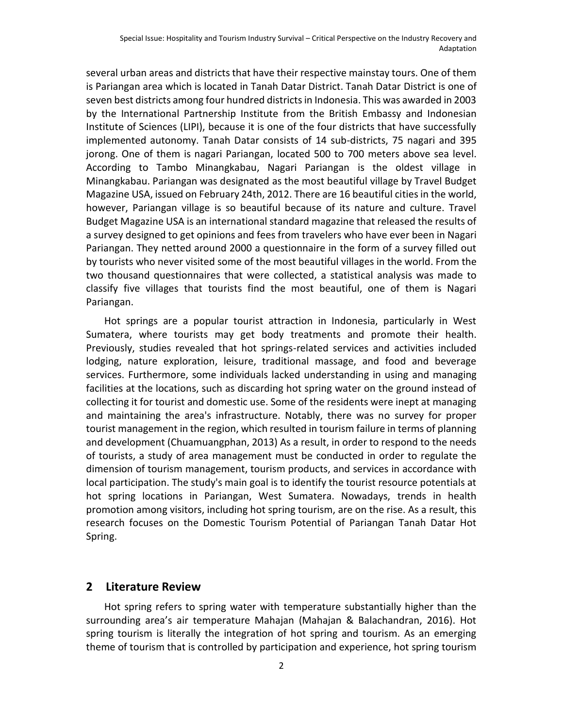several urban areas and districts that have their respective mainstay tours. One of them is Pariangan area which is located in Tanah Datar District. Tanah Datar District is one of seven best districts among four hundred districts in Indonesia. This was awarded in 2003 by the International Partnership Institute from the British Embassy and Indonesian Institute of Sciences (LIPI), because it is one of the four districts that have successfully implemented autonomy. Tanah Datar consists of 14 sub-districts, 75 nagari and 395 jorong. One of them is nagari Pariangan, located 500 to 700 meters above sea level. According to Tambo Minangkabau, Nagari Pariangan is the oldest village in Minangkabau. Pariangan was designated as the most beautiful village by Travel Budget Magazine USA, issued on February 24th, 2012. There are 16 beautiful cities in the world, however, Pariangan village is so beautiful because of its nature and culture. Travel Budget Magazine USA is an international standard magazine that released the results of a survey designed to get opinions and fees from travelers who have ever been in Nagari Pariangan. They netted around 2000 a questionnaire in the form of a survey filled out by tourists who never visited some of the most beautiful villages in the world. From the two thousand questionnaires that were collected, a statistical analysis was made to classify five villages that tourists find the most beautiful, one of them is Nagari Pariangan.

Hot springs are a popular tourist attraction in Indonesia, particularly in West Sumatera, where tourists may get body treatments and promote their health. Previously, studies revealed that hot springs-related services and activities included lodging, nature exploration, leisure, traditional massage, and food and beverage services. Furthermore, some individuals lacked understanding in using and managing facilities at the locations, such as discarding hot spring water on the ground instead of collecting it for tourist and domestic use. Some of the residents were inept at managing and maintaining the area's infrastructure. Notably, there was no survey for proper tourist management in the region, which resulted in tourism failure in terms of planning and development (Chuamuangphan, 2013) As a result, in order to respond to the needs of tourists, a study of area management must be conducted in order to regulate the dimension of tourism management, tourism products, and services in accordance with local participation. The study's main goal is to identify the tourist resource potentials at hot spring locations in Pariangan, West Sumatera. Nowadays, trends in health promotion among visitors, including hot spring tourism, are on the rise. As a result, this research focuses on the Domestic Tourism Potential of Pariangan Tanah Datar Hot Spring.

#### **2 Literature Review**

Hot spring refers to spring water with temperature substantially higher than the surrounding area's air temperature Mahajan (Mahajan & Balachandran, 2016). Hot spring tourism is literally the integration of hot spring and tourism. As an emerging theme of tourism that is controlled by participation and experience, hot spring tourism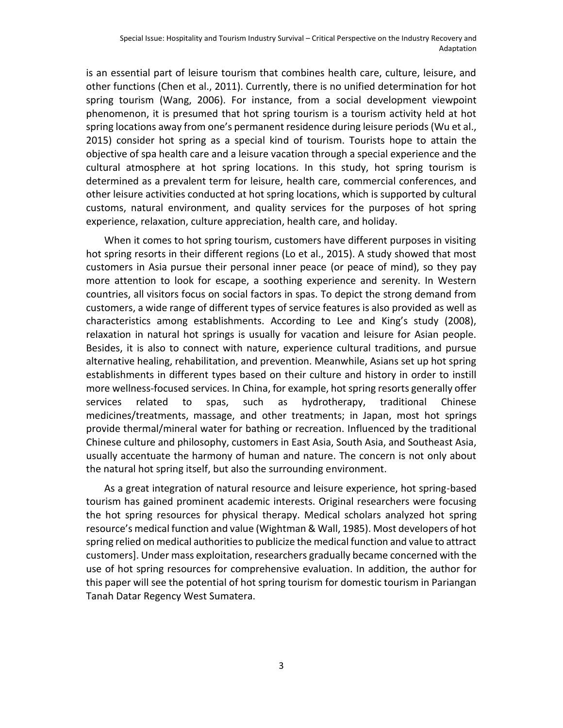is an essential part of leisure tourism that combines health care, culture, leisure, and other functions (Chen et al., 2011). Currently, there is no unified determination for hot spring tourism (Wang, 2006). For instance, from a social development viewpoint phenomenon, it is presumed that hot spring tourism is a tourism activity held at hot spring locations away from one's permanent residence during leisure periods (Wu et al., 2015) consider hot spring as a special kind of tourism. Tourists hope to attain the objective of spa health care and a leisure vacation through a special experience and the cultural atmosphere at hot spring locations. In this study, hot spring tourism is determined as a prevalent term for leisure, health care, commercial conferences, and other leisure activities conducted at hot spring locations, which is supported by cultural customs, natural environment, and quality services for the purposes of hot spring experience, relaxation, culture appreciation, health care, and holiday.

When it comes to hot spring tourism, customers have different purposes in visiting hot spring resorts in their different regions (Lo et al., 2015). A study showed that most customers in Asia pursue their personal inner peace (or peace of mind), so they pay more attention to look for escape, a soothing experience and serenity. In Western countries, all visitors focus on social factors in spas. To depict the strong demand from customers, a wide range of different types of service features is also provided as well as characteristics among establishments. According to Lee and King's study (2008), relaxation in natural hot springs is usually for vacation and leisure for Asian people. Besides, it is also to connect with nature, experience cultural traditions, and pursue alternative healing, rehabilitation, and prevention. Meanwhile, Asians set up hot spring establishments in different types based on their culture and history in order to instill more wellness-focused services. In China, for example, hot spring resorts generally offer services related to spas, such as hydrotherapy, traditional Chinese medicines/treatments, massage, and other treatments; in Japan, most hot springs provide thermal/mineral water for bathing or recreation. Influenced by the traditional Chinese culture and philosophy, customers in East Asia, South Asia, and Southeast Asia, usually accentuate the harmony of human and nature. The concern is not only about the natural hot spring itself, but also the surrounding environment.

As a great integration of natural resource and leisure experience, hot spring-based tourism has gained prominent academic interests. Original researchers were focusing the hot spring resources for physical therapy. Medical scholars analyzed hot spring resource's medical function and value (Wightman & Wall, 1985). Most developers of hot spring relied on medical authorities to publicize the medical function and value to attract customers]. Under mass exploitation, researchers gradually became concerned with the use of hot spring resources for comprehensive evaluation. In addition, the author for this paper will see the potential of hot spring tourism for domestic tourism in Pariangan Tanah Datar Regency West Sumatera.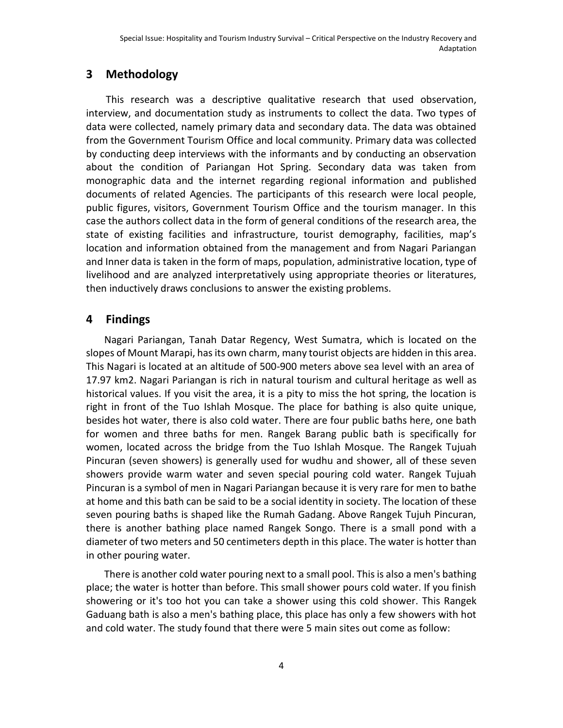# **3 Methodology**

This research was a descriptive qualitative research that used observation, interview, and documentation study as instruments to collect the data. Two types of data were collected, namely primary data and secondary data. The data was obtained from the Government Tourism Office and local community. Primary data was collected by conducting deep interviews with the informants and by conducting an observation about the condition of Pariangan Hot Spring. Secondary data was taken from monographic data and the internet regarding regional information and published documents of related Agencies. The participants of this research were local people, public figures, visitors, Government Tourism Office and the tourism manager. In this case the authors collect data in the form of general conditions of the research area, the state of existing facilities and infrastructure, tourist demography, facilities, map's location and information obtained from the management and from Nagari Pariangan and Inner data is taken in the form of maps, population, administrative location, type of livelihood and are analyzed interpretatively using appropriate theories or literatures, then inductively draws conclusions to answer the existing problems.

# **4 Findings**

Nagari Pariangan, Tanah Datar Regency, West Sumatra, which is located on the slopes of Mount Marapi, has its own charm, many tourist objects are hidden in this area. This Nagari is located at an altitude of 500-900 meters above sea level with an area of 17.97 km2. Nagari Pariangan is rich in natural tourism and cultural heritage as well as historical values. If you visit the area, it is a pity to miss the hot spring, the location is right in front of the Tuo Ishlah Mosque. The place for bathing is also quite unique, besides hot water, there is also cold water. There are four public baths here, one bath for women and three baths for men. Rangek Barang public bath is specifically for women, located across the bridge from the Tuo Ishlah Mosque. The Rangek Tujuah Pincuran (seven showers) is generally used for wudhu and shower, all of these seven showers provide warm water and seven special pouring cold water. Rangek Tujuah Pincuran is a symbol of men in Nagari Pariangan because it is very rare for men to bathe at home and this bath can be said to be a social identity in society. The location of these seven pouring baths is shaped like the Rumah Gadang. Above Rangek Tujuh Pincuran, there is another bathing place named Rangek Songo. There is a small pond with a diameter of two meters and 50 centimeters depth in this place. The water is hotter than in other pouring water.

There is another cold water pouring next to a small pool. This is also a men's bathing place; the water is hotter than before. This small shower pours cold water. If you finish showering or it's too hot you can take a shower using this cold shower. This Rangek Gaduang bath is also a men's bathing place, this place has only a few showers with hot and cold water. The study found that there were 5 main sites out come as follow: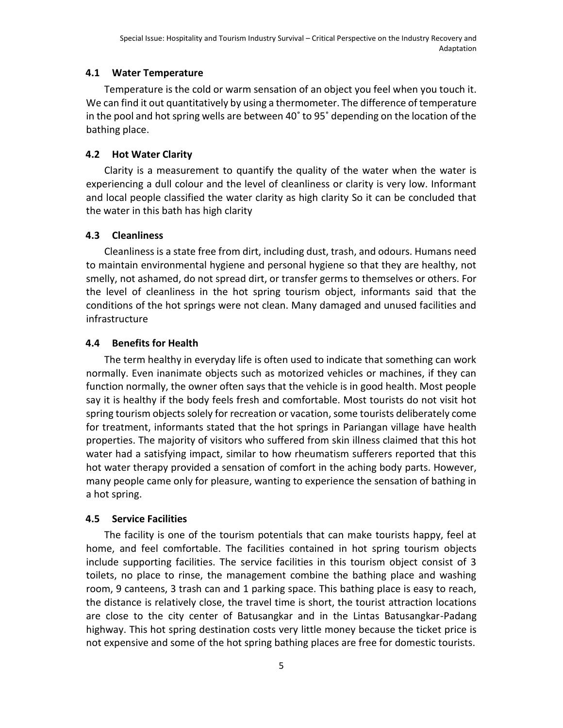## **4.1 Water Temperature**

Temperature is the cold or warm sensation of an object you feel when you touch it. We can find it out quantitatively by using a thermometer. The difference of temperature in the pool and hot spring wells are between 40˚ to 95˚ depending on the location of the bathing place.

## **4.2 Hot Water Clarity**

Clarity is a measurement to quantify the quality of the water when the water is experiencing a dull colour and the level of cleanliness or clarity is very low. Informant and local people classified the water clarity as high clarity So it can be concluded that the water in this bath has high clarity

## **4.3 Cleanliness**

Cleanliness is a state free from dirt, including dust, trash, and odours. Humans need to maintain environmental hygiene and personal hygiene so that they are healthy, not smelly, not ashamed, do not spread dirt, or transfer germs to themselves or others. For the level of cleanliness in the hot spring tourism object, informants said that the conditions of the hot springs were not clean. Many damaged and unused facilities and infrastructure

## **4.4 Benefits for Health**

The term healthy in everyday life is often used to indicate that something can work normally. Even inanimate objects such as motorized vehicles or machines, if they can function normally, the owner often says that the vehicle is in good health. Most people say it is healthy if the body feels fresh and comfortable. Most tourists do not visit hot spring tourism objects solely for recreation or vacation, some tourists deliberately come for treatment, informants stated that the hot springs in Pariangan village have health properties. The majority of visitors who suffered from skin illness claimed that this hot water had a satisfying impact, similar to how rheumatism sufferers reported that this hot water therapy provided a sensation of comfort in the aching body parts. However, many people came only for pleasure, wanting to experience the sensation of bathing in a hot spring.

## **4.5 Service Facilities**

The facility is one of the tourism potentials that can make tourists happy, feel at home, and feel comfortable. The facilities contained in hot spring tourism objects include supporting facilities. The service facilities in this tourism object consist of 3 toilets, no place to rinse, the management combine the bathing place and washing room, 9 canteens, 3 trash can and 1 parking space. This bathing place is easy to reach, the distance is relatively close, the travel time is short, the tourist attraction locations are close to the city center of Batusangkar and in the Lintas Batusangkar-Padang highway. This hot spring destination costs very little money because the ticket price is not expensive and some of the hot spring bathing places are free for domestic tourists.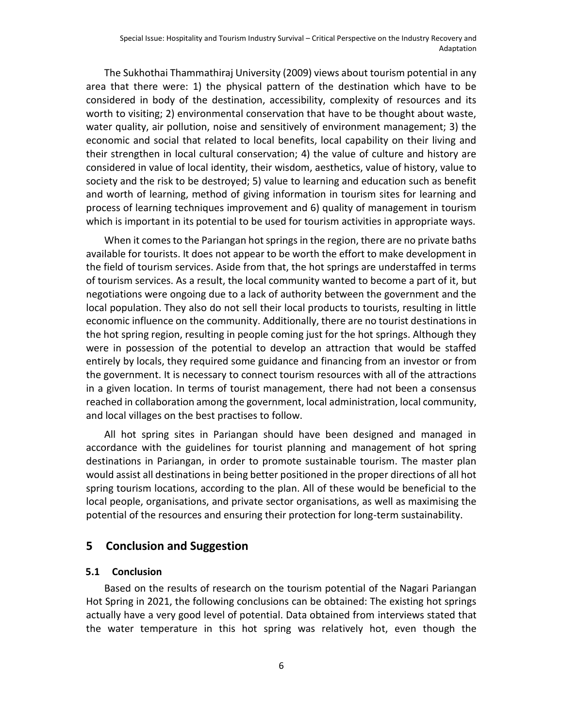The Sukhothai Thammathiraj University (2009) views about tourism potential in any area that there were: 1) the physical pattern of the destination which have to be considered in body of the destination, accessibility, complexity of resources and its worth to visiting; 2) environmental conservation that have to be thought about waste, water quality, air pollution, noise and sensitively of environment management; 3) the economic and social that related to local benefits, local capability on their living and their strengthen in local cultural conservation; 4) the value of culture and history are considered in value of local identity, their wisdom, aesthetics, value of history, value to society and the risk to be destroyed; 5) value to learning and education such as benefit and worth of learning, method of giving information in tourism sites for learning and process of learning techniques improvement and 6) quality of management in tourism which is important in its potential to be used for tourism activities in appropriate ways.

When it comes to the Pariangan hot springs in the region, there are no private baths available for tourists. It does not appear to be worth the effort to make development in the field of tourism services. Aside from that, the hot springs are understaffed in terms of tourism services. As a result, the local community wanted to become a part of it, but negotiations were ongoing due to a lack of authority between the government and the local population. They also do not sell their local products to tourists, resulting in little economic influence on the community. Additionally, there are no tourist destinations in the hot spring region, resulting in people coming just for the hot springs. Although they were in possession of the potential to develop an attraction that would be staffed entirely by locals, they required some guidance and financing from an investor or from the government. It is necessary to connect tourism resources with all of the attractions in a given location. In terms of tourist management, there had not been a consensus reached in collaboration among the government, local administration, local community, and local villages on the best practises to follow.

All hot spring sites in Pariangan should have been designed and managed in accordance with the guidelines for tourist planning and management of hot spring destinations in Pariangan, in order to promote sustainable tourism. The master plan would assist all destinations in being better positioned in the proper directions of all hot spring tourism locations, according to the plan. All of these would be beneficial to the local people, organisations, and private sector organisations, as well as maximising the potential of the resources and ensuring their protection for long-term sustainability.

#### **5 Conclusion and Suggestion**

#### **5.1 Conclusion**

Based on the results of research on the tourism potential of the Nagari Pariangan Hot Spring in 2021, the following conclusions can be obtained: The existing hot springs actually have a very good level of potential. Data obtained from interviews stated that the water temperature in this hot spring was relatively hot, even though the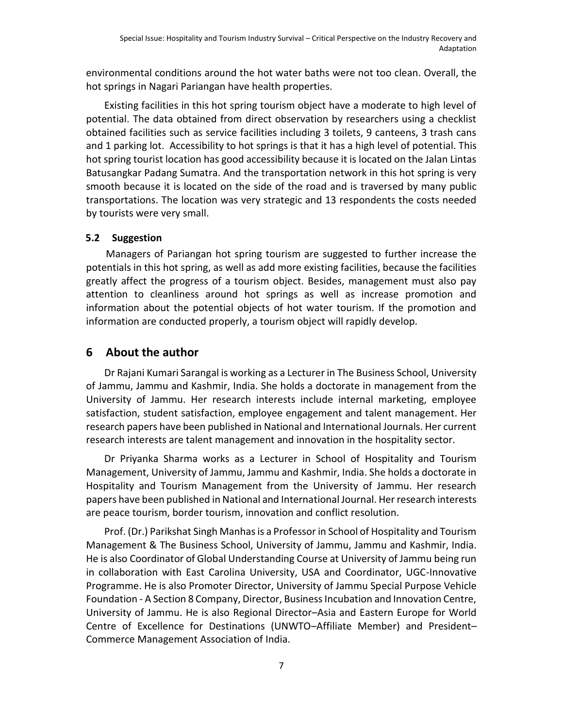environmental conditions around the hot water baths were not too clean. Overall, the hot springs in Nagari Pariangan have health properties.

Existing facilities in this hot spring tourism object have a moderate to high level of potential. The data obtained from direct observation by researchers using a checklist obtained facilities such as service facilities including 3 toilets, 9 canteens, 3 trash cans and 1 parking lot. Accessibility to hot springs is that it has a high level of potential. This hot spring tourist location has good accessibility because it is located on the Jalan Lintas Batusangkar Padang Sumatra. And the transportation network in this hot spring is very smooth because it is located on the side of the road and is traversed by many public transportations. The location was very strategic and 13 respondents the costs needed by tourists were very small.

## **5.2 Suggestion**

Managers of Pariangan hot spring tourism are suggested to further increase the potentials in this hot spring, as well as add more existing facilities, because the facilities greatly affect the progress of a tourism object. Besides, management must also pay attention to cleanliness around hot springs as well as increase promotion and information about the potential objects of hot water tourism. If the promotion and information are conducted properly, a tourism object will rapidly develop.

# **6 About the author**

Dr Rajani Kumari Sarangal is working as a Lecturer in The Business School, University of Jammu, Jammu and Kashmir, India. She holds a doctorate in management from the University of Jammu. Her research interests include internal marketing, employee satisfaction, student satisfaction, employee engagement and talent management. Her research papers have been published in National and International Journals. Her current research interests are talent management and innovation in the hospitality sector.

Dr Priyanka Sharma works as a Lecturer in School of Hospitality and Tourism Management, University of Jammu, Jammu and Kashmir, India. She holds a doctorate in Hospitality and Tourism Management from the University of Jammu. Her research papers have been published in National and International Journal. Her research interests are peace tourism, border tourism, innovation and conflict resolution.

Prof. (Dr.) Parikshat Singh Manhas is a Professor in School of Hospitality and Tourism Management & The Business School, University of Jammu, Jammu and Kashmir, India. He is also Coordinator of Global Understanding Course at University of Jammu being run in collaboration with East Carolina University, USA and Coordinator, UGC-Innovative Programme. He is also Promoter Director, University of Jammu Special Purpose Vehicle Foundation - A Section 8 Company, Director, Business Incubation and Innovation Centre, University of Jammu. He is also Regional Director–Asia and Eastern Europe for World Centre of Excellence for Destinations (UNWTO–Affiliate Member) and President– Commerce Management Association of India.